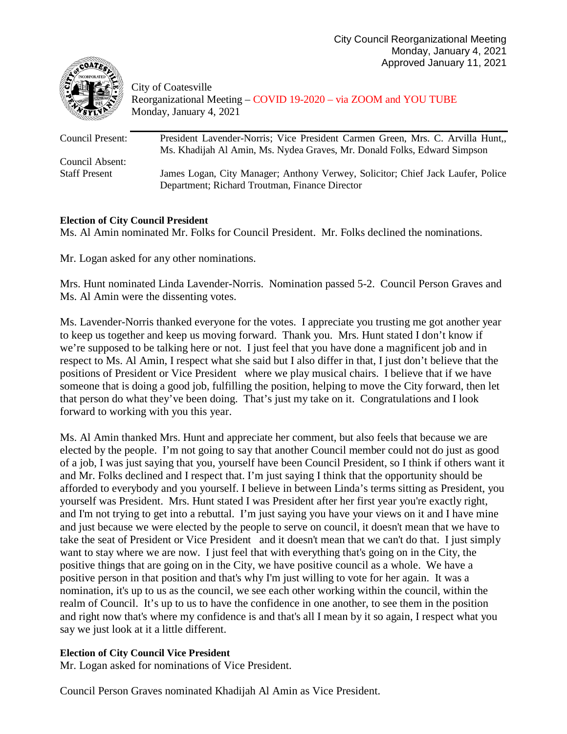

City of Coatesville Reorganizational Meeting – COVID 19-2020 – via ZOOM and YOU TUBE Monday, January 4, 2021

| President Lavender-Norris; Vice President Carmen Green, Mrs. C. Arvilla Hunt.,  |
|---------------------------------------------------------------------------------|
| Ms. Khadijah Al Amin, Ms. Nydea Graves, Mr. Donald Folks, Edward Simpson        |
|                                                                                 |
| James Logan, City Manager; Anthony Verwey, Solicitor; Chief Jack Laufer, Police |
| Department; Richard Troutman, Finance Director                                  |
|                                                                                 |

## **Election of City Council President**

Ms. Al Amin nominated Mr. Folks for Council President. Mr. Folks declined the nominations.

Mr. Logan asked for any other nominations.

Mrs. Hunt nominated Linda Lavender-Norris. Nomination passed 5-2. Council Person Graves and Ms. Al Amin were the dissenting votes.

Ms. Lavender-Norris thanked everyone for the votes. I appreciate you trusting me got another year to keep us together and keep us moving forward. Thank you. Mrs. Hunt stated I don't know if we're supposed to be talking here or not. I just feel that you have done a magnificent job and in respect to Ms. Al Amin, I respect what she said but I also differ in that, I just don't believe that the positions of President or Vice President where we play musical chairs. I believe that if we have someone that is doing a good job, fulfilling the position, helping to move the City forward, then let that person do what they've been doing. That's just my take on it. Congratulations and I look forward to working with you this year.

Ms. Al Amin thanked Mrs. Hunt and appreciate her comment, but also feels that because we are elected by the people. I'm not going to say that another Council member could not do just as good of a job, I was just saying that you, yourself have been Council President, so I think if others want it and Mr. Folks declined and I respect that. I'm just saying I think that the opportunity should be afforded to everybody and you yourself. I believe in between Linda's terms sitting as President, you yourself was President. Mrs. Hunt stated I was President after her first year you're exactly right, and I'm not trying to get into a rebuttal. I'm just saying you have your views on it and I have mine and just because we were elected by the people to serve on council, it doesn't mean that we have to take the seat of President or Vice President and it doesn't mean that we can't do that. I just simply want to stay where we are now. I just feel that with everything that's going on in the City, the positive things that are going on in the City, we have positive council as a whole. We have a positive person in that position and that's why I'm just willing to vote for her again. It was a nomination, it's up to us as the council, we see each other working within the council, within the realm of Council. It's up to us to have the confidence in one another, to see them in the position and right now that's where my confidence is and that's all I mean by it so again, I respect what you say we just look at it a little different.

# **Election of City Council Vice President**

Mr. Logan asked for nominations of Vice President.

Council Person Graves nominated Khadijah Al Amin as Vice President.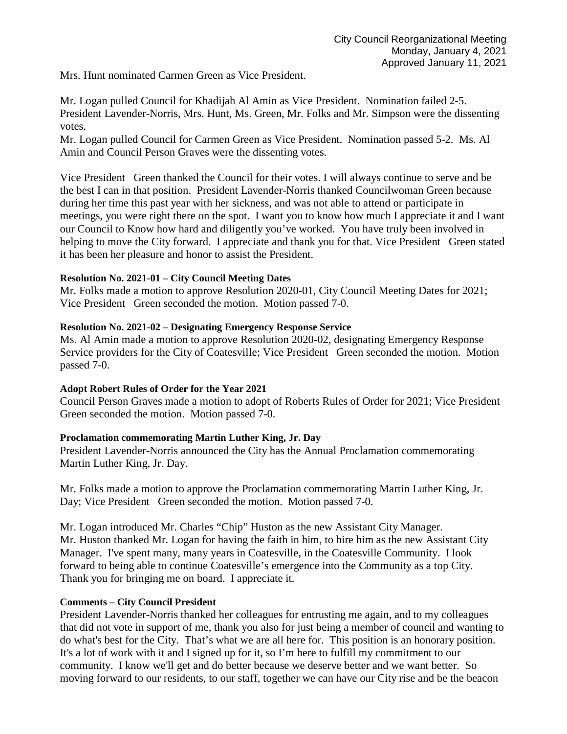Mrs. Hunt nominated Carmen Green as Vice President.

Mr. Logan pulled Council for Khadijah Al Amin as Vice President. Nomination failed 2-5. President Lavender-Norris, Mrs. Hunt, Ms. Green, Mr. Folks and Mr. Simpson were the dissenting votes.

Mr. Logan pulled Council for Carmen Green as Vice President. Nomination passed 5-2. Ms. Al Amin and Council Person Graves were the dissenting votes.

Vice President Green thanked the Council for their votes. I will always continue to serve and be the best I can in that position. President Lavender-Norris thanked Councilwoman Green because during her time this past year with her sickness, and was not able to attend or participate in meetings, you were right there on the spot. I want you to know how much I appreciate it and I want our Council to Know how hard and diligently you've worked. You have truly been involved in helping to move the City forward. I appreciate and thank you for that. Vice President Green stated it has been her pleasure and honor to assist the President.

## **Resolution No. 2021-01 – City Council Meeting Dates**

Mr. Folks made a motion to approve Resolution 2020-01, City Council Meeting Dates for 2021; Vice President Green seconded the motion. Motion passed 7-0.

## **Resolution No. 2021-02 – Designating Emergency Response Service**

Ms. Al Amin made a motion to approve Resolution 2020-02, designating Emergency Response Service providers for the City of Coatesville; Vice President Green seconded the motion. Motion passed 7-0.

## **Adopt Robert Rules of Order for the Year 2021**

Council Person Graves made a motion to adopt of Roberts Rules of Order for 2021; Vice President Green seconded the motion. Motion passed 7-0.

# **Proclamation commemorating Martin Luther King, Jr. Day**

President Lavender-Norris announced the City has the Annual Proclamation commemorating Martin Luther King, Jr. Day.

Mr. Folks made a motion to approve the Proclamation commemorating Martin Luther King, Jr. Day; Vice President Green seconded the motion. Motion passed 7-0.

Mr. Logan introduced Mr. Charles "Chip" Huston as the new Assistant City Manager. Mr. Huston thanked Mr. Logan for having the faith in him, to hire him as the new Assistant City Manager. I've spent many, many years in Coatesville, in the Coatesville Community. I look forward to being able to continue Coatesville's emergence into the Community as a top City. Thank you for bringing me on board. I appreciate it.

# **Comments – City Council President**

President Lavender-Norris thanked her colleagues for entrusting me again, and to my colleagues that did not vote in support of me, thank you also for just being a member of council and wanting to do what's best for the City. That's what we are all here for. This position is an honorary position. It's a lot of work with it and I signed up for it, so I'm here to fulfill my commitment to our community. I know we'll get and do better because we deserve better and we want better. So moving forward to our residents, to our staff, together we can have our City rise and be the beacon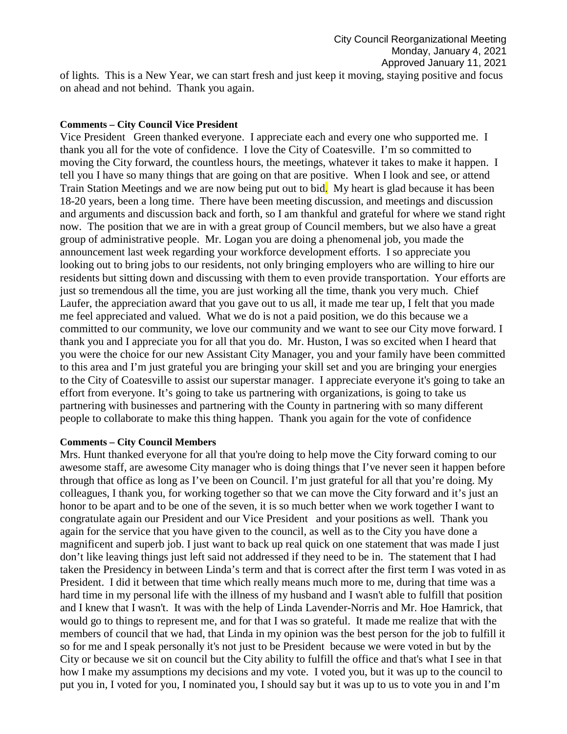of lights. This is a New Year, we can start fresh and just keep it moving, staying positive and focus on ahead and not behind. Thank you again.

## **Comments – City Council Vice President**

Vice President Green thanked everyone. I appreciate each and every one who supported me. I thank you all for the vote of confidence. I love the City of Coatesville. I'm so committed to moving the City forward, the countless hours, the meetings, whatever it takes to make it happen. I tell you I have so many things that are going on that are positive. When I look and see, or attend Train Station Meetings and we are now being put out to bid. My heart is glad because it has been 18-20 years, been a long time. There have been meeting discussion, and meetings and discussion and arguments and discussion back and forth, so I am thankful and grateful for where we stand right now. The position that we are in with a great group of Council members, but we also have a great group of administrative people. Mr. Logan you are doing a phenomenal job, you made the announcement last week regarding your workforce development efforts. I so appreciate you looking out to bring jobs to our residents, not only bringing employers who are willing to hire our residents but sitting down and discussing with them to even provide transportation. Your efforts are just so tremendous all the time, you are just working all the time, thank you very much. Chief Laufer, the appreciation award that you gave out to us all, it made me tear up, I felt that you made me feel appreciated and valued. What we do is not a paid position, we do this because we a committed to our community, we love our community and we want to see our City move forward. I thank you and I appreciate you for all that you do. Mr. Huston, I was so excited when I heard that you were the choice for our new Assistant City Manager, you and your family have been committed to this area and I'm just grateful you are bringing your skill set and you are bringing your energies to the City of Coatesville to assist our superstar manager. I appreciate everyone it's going to take an effort from everyone. It's going to take us partnering with organizations, is going to take us partnering with businesses and partnering with the County in partnering with so many different people to collaborate to make this thing happen. Thank you again for the vote of confidence

#### **Comments – City Council Members**

Mrs. Hunt thanked everyone for all that you're doing to help move the City forward coming to our awesome staff, are awesome City manager who is doing things that I've never seen it happen before through that office as long as I've been on Council. I'm just grateful for all that you're doing. My colleagues, I thank you, for working together so that we can move the City forward and it's just an honor to be apart and to be one of the seven, it is so much better when we work together I want to congratulate again our President and our Vice President and your positions as well. Thank you again for the service that you have given to the council, as well as to the City you have done a magnificent and superb job. I just want to back up real quick on one statement that was made I just don't like leaving things just left said not addressed if they need to be in. The statement that I had taken the Presidency in between Linda's term and that is correct after the first term I was voted in as President. I did it between that time which really means much more to me, during that time was a hard time in my personal life with the illness of my husband and I wasn't able to fulfill that position and I knew that I wasn't. It was with the help of Linda Lavender-Norris and Mr. Hoe Hamrick, that would go to things to represent me, and for that I was so grateful. It made me realize that with the members of council that we had, that Linda in my opinion was the best person for the job to fulfill it so for me and I speak personally it's not just to be President because we were voted in but by the City or because we sit on council but the City ability to fulfill the office and that's what I see in that how I make my assumptions my decisions and my vote. I voted you, but it was up to the council to put you in, I voted for you, I nominated you, I should say but it was up to us to vote you in and I'm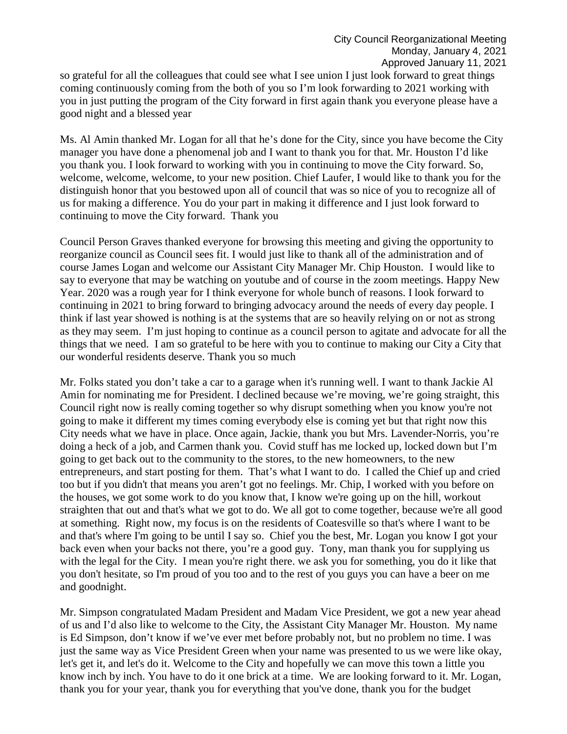so grateful for all the colleagues that could see what I see union I just look forward to great things coming continuously coming from the both of you so I'm look forwarding to 2021 working with you in just putting the program of the City forward in first again thank you everyone please have a good night and a blessed year

Ms. Al Amin thanked Mr. Logan for all that he's done for the City, since you have become the City manager you have done a phenomenal job and I want to thank you for that. Mr. Houston I'd like you thank you. I look forward to working with you in continuing to move the City forward. So, welcome, welcome, welcome, to your new position. Chief Laufer, I would like to thank you for the distinguish honor that you bestowed upon all of council that was so nice of you to recognize all of us for making a difference. You do your part in making it difference and I just look forward to continuing to move the City forward. Thank you

Council Person Graves thanked everyone for browsing this meeting and giving the opportunity to reorganize council as Council sees fit. I would just like to thank all of the administration and of course James Logan and welcome our Assistant City Manager Mr. Chip Houston. I would like to say to everyone that may be watching on youtube and of course in the zoom meetings. Happy New Year. 2020 was a rough year for I think everyone for whole bunch of reasons. I look forward to continuing in 2021 to bring forward to bringing advocacy around the needs of every day people. I think if last year showed is nothing is at the systems that are so heavily relying on or not as strong as they may seem. I'm just hoping to continue as a council person to agitate and advocate for all the things that we need. I am so grateful to be here with you to continue to making our City a City that our wonderful residents deserve. Thank you so much

Mr. Folks stated you don't take a car to a garage when it's running well. I want to thank Jackie Al Amin for nominating me for President. I declined because we're moving, we're going straight, this Council right now is really coming together so why disrupt something when you know you're not going to make it different my times coming everybody else is coming yet but that right now this City needs what we have in place. Once again, Jackie, thank you but Mrs. Lavender-Norris, you're doing a heck of a job, and Carmen thank you. Covid stuff has me locked up, locked down but I'm going to get back out to the community to the stores, to the new homeowners, to the new entrepreneurs, and start posting for them. That's what I want to do. I called the Chief up and cried too but if you didn't that means you aren't got no feelings. Mr. Chip, I worked with you before on the houses, we got some work to do you know that, I know we're going up on the hill, workout straighten that out and that's what we got to do. We all got to come together, because we're all good at something. Right now, my focus is on the residents of Coatesville so that's where I want to be and that's where I'm going to be until I say so. Chief you the best, Mr. Logan you know I got your back even when your backs not there, you're a good guy. Tony, man thank you for supplying us with the legal for the City. I mean you're right there, we ask you for something, you do it like that you don't hesitate, so I'm proud of you too and to the rest of you guys you can have a beer on me and goodnight.

Mr. Simpson congratulated Madam President and Madam Vice President, we got a new year ahead of us and I'd also like to welcome to the City, the Assistant City Manager Mr. Houston. My name is Ed Simpson, don't know if we've ever met before probably not, but no problem no time. I was just the same way as Vice President Green when your name was presented to us we were like okay, let's get it, and let's do it. Welcome to the City and hopefully we can move this town a little you know inch by inch. You have to do it one brick at a time. We are looking forward to it. Mr. Logan, thank you for your year, thank you for everything that you've done, thank you for the budget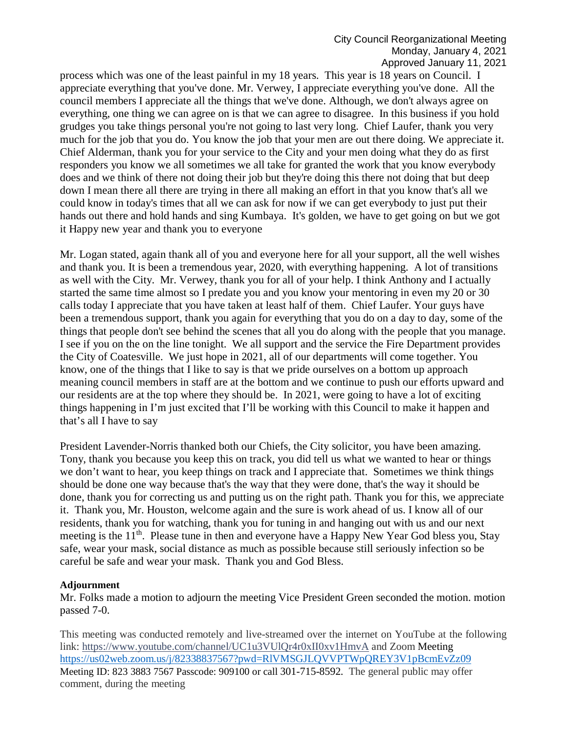process which was one of the least painful in my 18 years. This year is 18 years on Council. I appreciate everything that you've done. Mr. Verwey, I appreciate everything you've done. All the council members I appreciate all the things that we've done. Although, we don't always agree on everything, one thing we can agree on is that we can agree to disagree. In this business if you hold grudges you take things personal you're not going to last very long. Chief Laufer, thank you very much for the job that you do. You know the job that your men are out there doing. We appreciate it. Chief Alderman, thank you for your service to the City and your men doing what they do as first responders you know we all sometimes we all take for granted the work that you know everybody does and we think of there not doing their job but they're doing this there not doing that but deep down I mean there all there are trying in there all making an effort in that you know that's all we could know in today's times that all we can ask for now if we can get everybody to just put their hands out there and hold hands and sing Kumbaya. It's golden, we have to get going on but we got it Happy new year and thank you to everyone

Mr. Logan stated, again thank all of you and everyone here for all your support, all the well wishes and thank you. It is been a tremendous year, 2020, with everything happening. A lot of transitions as well with the City. Mr. Verwey, thank you for all of your help. I think Anthony and I actually started the same time almost so I predate you and you know your mentoring in even my 20 or 30 calls today I appreciate that you have taken at least half of them. Chief Laufer. Your guys have been a tremendous support, thank you again for everything that you do on a day to day, some of the things that people don't see behind the scenes that all you do along with the people that you manage. I see if you on the on the line tonight. We all support and the service the Fire Department provides the City of Coatesville. We just hope in 2021, all of our departments will come together. You know, one of the things that I like to say is that we pride ourselves on a bottom up approach meaning council members in staff are at the bottom and we continue to push our efforts upward and our residents are at the top where they should be. In 2021, were going to have a lot of exciting things happening in I'm just excited that I'll be working with this Council to make it happen and that's all I have to say

President Lavender-Norris thanked both our Chiefs, the City solicitor, you have been amazing. Tony, thank you because you keep this on track, you did tell us what we wanted to hear or things we don't want to hear, you keep things on track and I appreciate that. Sometimes we think things should be done one way because that's the way that they were done, that's the way it should be done, thank you for correcting us and putting us on the right path. Thank you for this, we appreciate it. Thank you, Mr. Houston, welcome again and the sure is work ahead of us. I know all of our residents, thank you for watching, thank you for tuning in and hanging out with us and our next meeting is the 11<sup>th</sup>. Please tune in then and everyone have a Happy New Year God bless you, Stay safe, wear your mask, social distance as much as possible because still seriously infection so be careful be safe and wear your mask. Thank you and God Bless.

#### **Adjournment**

Mr. Folks made a motion to adjourn the meeting Vice President Green seconded the motion. motion passed 7-0.

This meeting was conducted remotely and live-streamed over the internet on YouTube at the following link:<https://www.youtube.com/channel/UC1u3VUlQr4r0xII0xv1HmvA> and Zoom Meeting <https://us02web.zoom.us/j/82338837567?pwd=RlVMSGJLQVVPTWpQREY3V1pBcmEvZz09> Meeting ID: 823 3883 7567 Passcode: 909100 or call 301-715-8592. The general public may offer comment, during the meeting